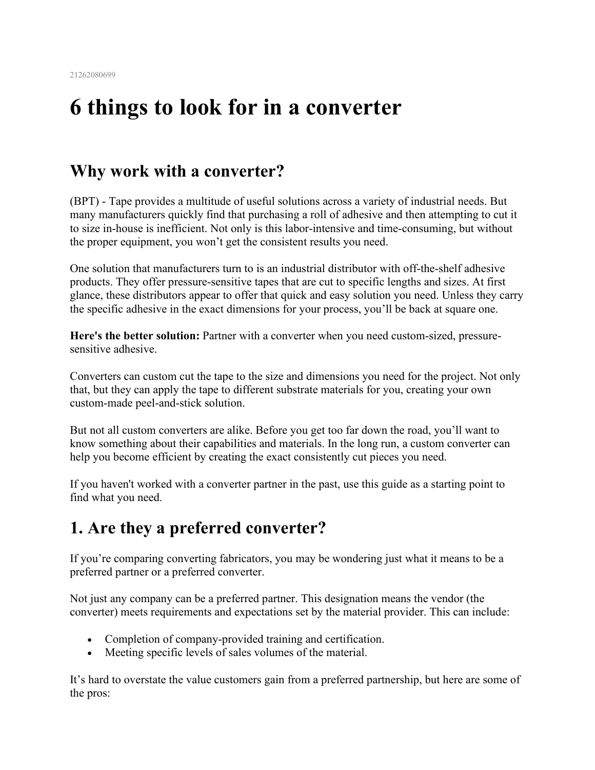# **6 things to look for in a converter**

### **Why work with a converter?**

(BPT) - Tape provides a multitude of useful solutions across a variety of industrial needs. But many manufacturers quickly find that purchasing a roll of adhesive and then attempting to cut it to size in-house is inefficient. Not only is this labor-intensive and time-consuming, but without the proper equipment, you won't get the consistent results you need.

One solution that manufacturers turn to is an industrial distributor with off-the-shelf adhesive products. They offer pressure-sensitive tapes that are cut to specific lengths and sizes. At first glance, these distributors appear to offer that quick and easy solution you need. Unless they carry the specific adhesive in the exact dimensions for your process, you'll be back at square one.

**Here's the better solution:** Partner with a converter when you need custom-sized, pressuresensitive adhesive.

Converters can custom cut the tape to the size and dimensions you need for the project. Not only that, but they can apply the tape to different substrate materials for you, creating your own custom-made peel-and-stick solution.

But not all custom converters are alike. Before you get too far down the road, you'll want to know something about their capabilities and materials. In the long run, a custom converter can help you become efficient by creating the exact consistently cut pieces you need.

If you haven't worked with a converter partner in the past, use this guide as a starting point to find what you need.

### **1. Are they a preferred converter?**

If you're comparing converting fabricators, you may be wondering just what it means to be a preferred partner or a preferred converter.

Not just any company can be a preferred partner. This designation means the vendor (the converter) meets requirements and expectations set by the material provider. This can include:

- Completion of company-provided training and certification.
- Meeting specific levels of sales volumes of the material.

It's hard to overstate the value customers gain from a preferred partnership, but here are some of the pros: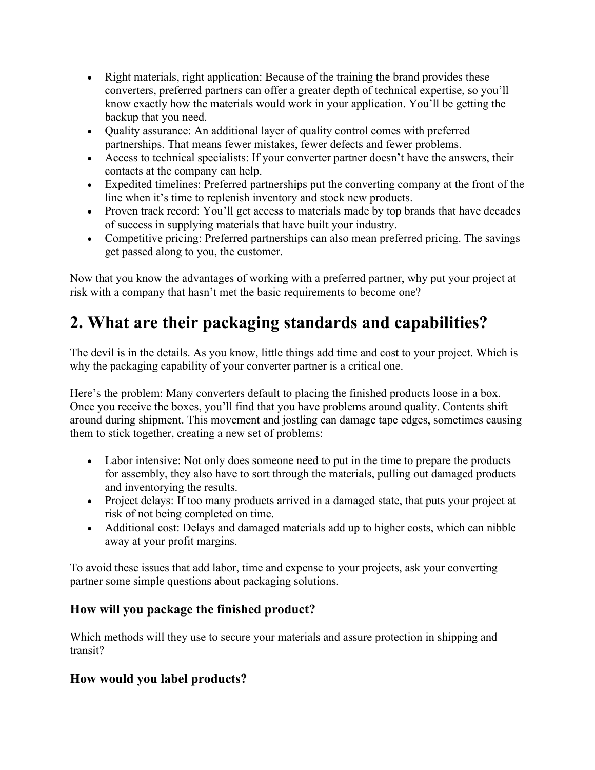- Right materials, right application: Because of the training the brand provides these converters, preferred partners can offer a greater depth of technical expertise, so you'll know exactly how the materials would work in your application. You'll be getting the backup that you need.
- Quality assurance: An additional layer of quality control comes with preferred partnerships. That means fewer mistakes, fewer defects and fewer problems.
- Access to technical specialists: If your converter partner doesn't have the answers, their contacts at the company can help.
- Expedited timelines: Preferred partnerships put the converting company at the front of the line when it's time to replenish inventory and stock new products.
- Proven track record: You'll get access to materials made by top brands that have decades of success in supplying materials that have built your industry.
- Competitive pricing: Preferred partnerships can also mean preferred pricing. The savings get passed along to you, the customer.

Now that you know the advantages of working with a preferred partner, why put your project at risk with a company that hasn't met the basic requirements to become one?

# **2. What are their packaging standards and capabilities?**

The devil is in the details. As you know, little things add time and cost to your project. Which is why the packaging capability of your converter partner is a critical one.

Here's the problem: Many converters default to placing the finished products loose in a box. Once you receive the boxes, you'll find that you have problems around quality. Contents shift around during shipment. This movement and jostling can damage tape edges, sometimes causing them to stick together, creating a new set of problems:

- Labor intensive: Not only does someone need to put in the time to prepare the products for assembly, they also have to sort through the materials, pulling out damaged products and inventorying the results.
- Project delays: If too many products arrived in a damaged state, that puts your project at risk of not being completed on time.
- Additional cost: Delays and damaged materials add up to higher costs, which can nibble away at your profit margins.

To avoid these issues that add labor, time and expense to your projects, ask your converting partner some simple questions about packaging solutions.

### **How will you package the finished product?**

Which methods will they use to secure your materials and assure protection in shipping and transit?

### **How would you label products?**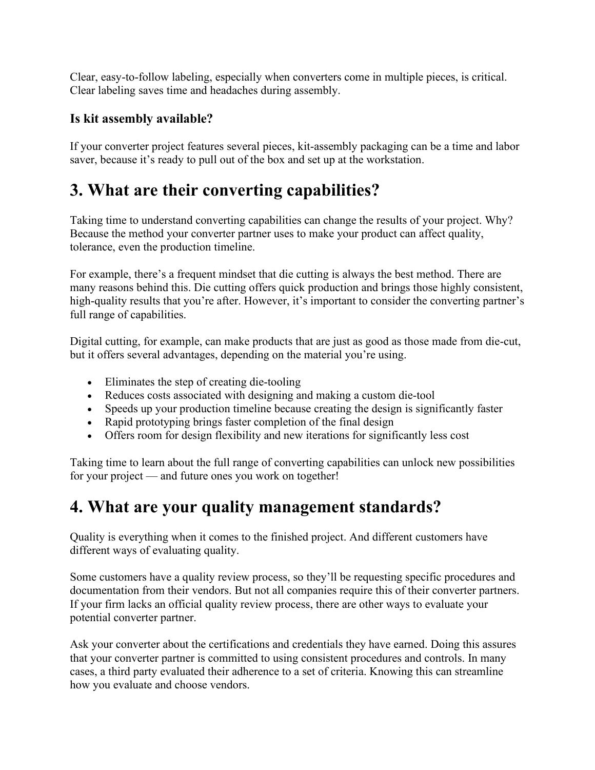Clear, easy-to-follow labeling, especially when converters come in multiple pieces, is critical. Clear labeling saves time and headaches during assembly.

#### **Is kit assembly available?**

If your converter project features several pieces, kit-assembly packaging can be a time and labor saver, because it's ready to pull out of the box and set up at the workstation.

# **3. What are their converting capabilities?**

Taking time to understand converting capabilities can change the results of your project. Why? Because the method your converter partner uses to make your product can affect quality, tolerance, even the production timeline.

For example, there's a frequent mindset that die cutting is always the best method. There are many reasons behind this. Die cutting offers quick production and brings those highly consistent, high-quality results that you're after. However, it's important to consider the converting partner's full range of capabilities.

Digital cutting, for example, can make products that are just as good as those made from die-cut, but it offers several advantages, depending on the material you're using.

- Eliminates the step of creating die-tooling
- Reduces costs associated with designing and making a custom die-tool
- Speeds up your production timeline because creating the design is significantly faster
- Rapid prototyping brings faster completion of the final design
- Offers room for design flexibility and new iterations for significantly less cost

Taking time to learn about the full range of converting capabilities can unlock new possibilities for your project — and future ones you work on together!

### **4. What are your quality management standards?**

Quality is everything when it comes to the finished project. And different customers have different ways of evaluating quality.

Some customers have a quality review process, so they'll be requesting specific procedures and documentation from their vendors. But not all companies require this of their converter partners. If your firm lacks an official quality review process, there are other ways to evaluate your potential converter partner.

Ask your converter about the certifications and credentials they have earned. Doing this assures that your converter partner is committed to using consistent procedures and controls. In many cases, a third party evaluated their adherence to a set of criteria. Knowing this can streamline how you evaluate and choose vendors.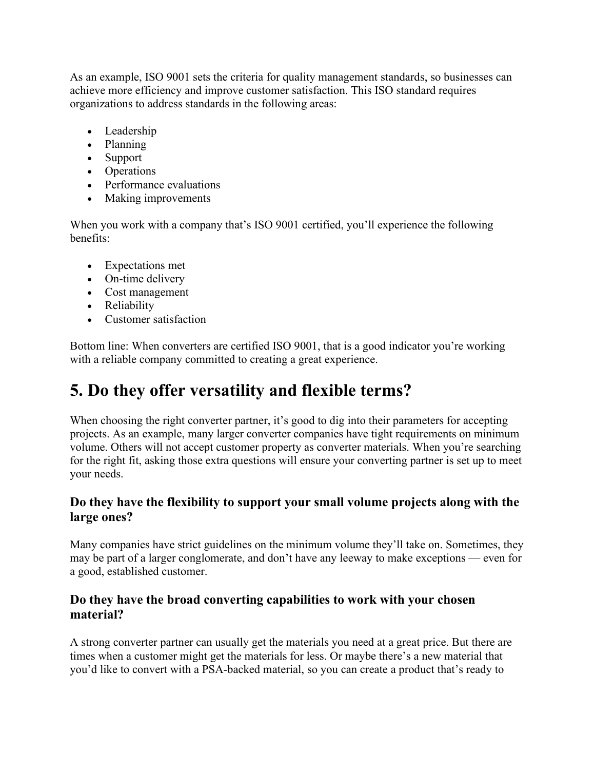As an example, ISO 9001 sets the criteria for quality management standards, so businesses can achieve more efficiency and improve customer satisfaction. This ISO standard requires organizations to address standards in the following areas:

- Leadership
- Planning
- Support
- Operations
- Performance evaluations
- Making improvements

When you work with a company that's ISO 9001 certified, you'll experience the following benefits:

- Expectations met
- On-time delivery
- Cost management
- Reliability
- Customer satisfaction

Bottom line: When converters are certified ISO 9001, that is a good indicator you're working with a reliable company committed to creating a great experience.

# **5. Do they offer versatility and flexible terms?**

When choosing the right converter partner, it's good to dig into their parameters for accepting projects. As an example, many larger converter companies have tight requirements on minimum volume. Others will not accept customer property as converter materials. When you're searching for the right fit, asking those extra questions will ensure your converting partner is set up to meet your needs.

#### **Do they have the flexibility to support your small volume projects along with the large ones?**

Many companies have strict guidelines on the minimum volume they'll take on. Sometimes, they may be part of a larger conglomerate, and don't have any leeway to make exceptions — even for a good, established customer.

#### **Do they have the broad converting capabilities to work with your chosen material?**

A strong converter partner can usually get the materials you need at a great price. But there are times when a customer might get the materials for less. Or maybe there's a new material that you'd like to convert with a PSA-backed material, so you can create a product that's ready to